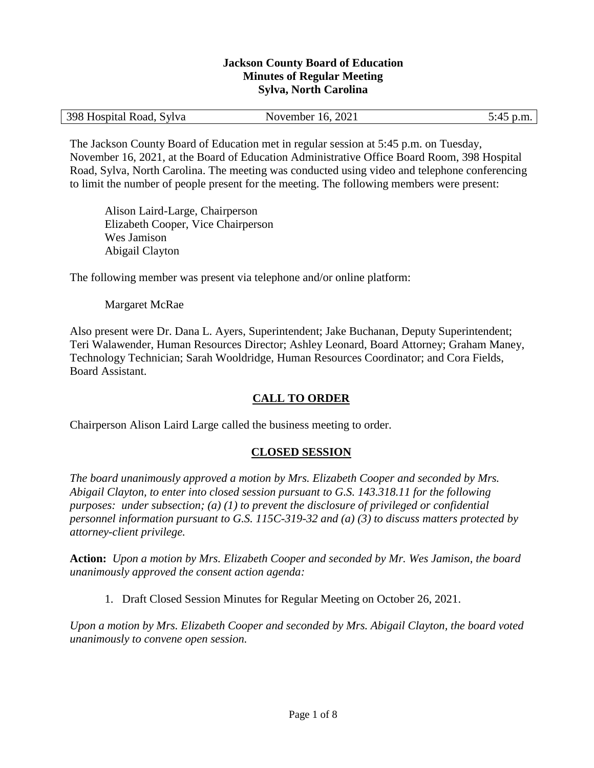#### **Jackson County Board of Education Minutes of Regular Meeting Sylva, North Carolina**

| 398 Hospital Road, Sylva | November 16, 2021 | 5:45 p.m. |
|--------------------------|-------------------|-----------|
|--------------------------|-------------------|-----------|

The Jackson County Board of Education met in regular session at 5:45 p.m. on Tuesday, November 16, 2021, at the Board of Education Administrative Office Board Room, 398 Hospital Road, Sylva, North Carolina. The meeting was conducted using video and telephone conferencing to limit the number of people present for the meeting. The following members were present:

Alison Laird-Large, Chairperson Elizabeth Cooper, Vice Chairperson Wes Jamison Abigail Clayton

The following member was present via telephone and/or online platform:

#### Margaret McRae

Also present were Dr. Dana L. Ayers, Superintendent; Jake Buchanan, Deputy Superintendent; Teri Walawender, Human Resources Director; Ashley Leonard, Board Attorney; Graham Maney, Technology Technician; Sarah Wooldridge, Human Resources Coordinator; and Cora Fields, Board Assistant.

# **CALL TO ORDER**

Chairperson Alison Laird Large called the business meeting to order.

# **CLOSED SESSION**

*The board unanimously approved a motion by Mrs. Elizabeth Cooper and seconded by Mrs. Abigail Clayton, to enter into closed session pursuant to G.S. 143.318.11 for the following purposes: under subsection; (a) (1) to prevent the disclosure of privileged or confidential personnel information pursuant to G.S. 115C-319-32 and (a) (3) to discuss matters protected by attorney-client privilege.* 

**Action:** *Upon a motion by Mrs. Elizabeth Cooper and seconded by Mr. Wes Jamison, the board unanimously approved the consent action agenda:*

1. Draft Closed Session Minutes for Regular Meeting on October 26, 2021.

*Upon a motion by Mrs. Elizabeth Cooper and seconded by Mrs. Abigail Clayton, the board voted unanimously to convene open session.*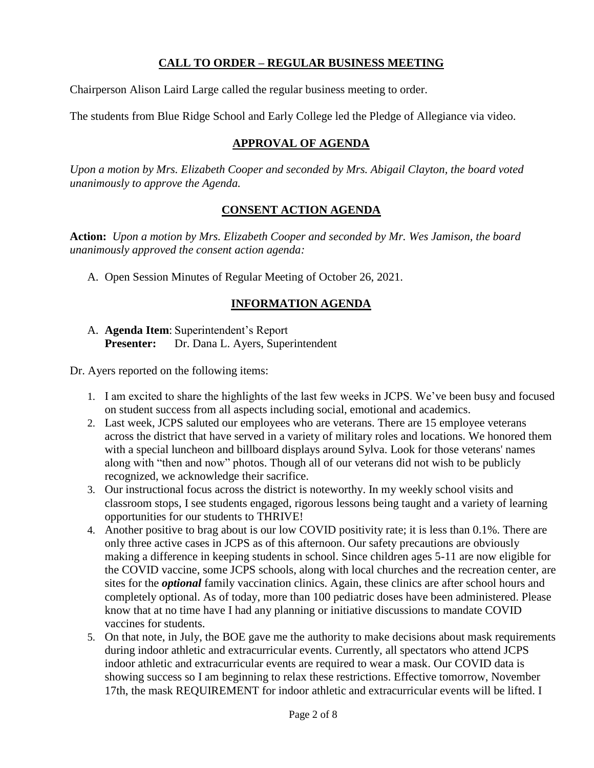# **CALL TO ORDER – REGULAR BUSINESS MEETING**

Chairperson Alison Laird Large called the regular business meeting to order.

The students from Blue Ridge School and Early College led the Pledge of Allegiance via video.

# **APPROVAL OF AGENDA**

*Upon a motion by Mrs. Elizabeth Cooper and seconded by Mrs. Abigail Clayton, the board voted unanimously to approve the Agenda.*

### **CONSENT ACTION AGENDA**

**Action:** *Upon a motion by Mrs. Elizabeth Cooper and seconded by Mr. Wes Jamison, the board unanimously approved the consent action agenda:*

A. Open Session Minutes of Regular Meeting of October 26, 2021.

## **INFORMATION AGENDA**

### A. **Agenda Item**: Superintendent's Report **Presenter:** Dr. Dana L. Ayers, Superintendent

Dr. Ayers reported on the following items:

- 1. I am excited to share the highlights of the last few weeks in JCPS. We've been busy and focused on student success from all aspects including social, emotional and academics.
- 2. Last week, JCPS saluted our employees who are veterans. There are 15 employee veterans across the district that have served in a variety of military roles and locations. We honored them with a special luncheon and billboard displays around Sylva. Look for those veterans' names along with "then and now" photos. Though all of our veterans did not wish to be publicly recognized, we acknowledge their sacrifice.
- 3. Our instructional focus across the district is noteworthy. In my weekly school visits and classroom stops, I see students engaged, rigorous lessons being taught and a variety of learning opportunities for our students to THRIVE!
- 4. Another positive to brag about is our low COVID positivity rate; it is less than 0.1%. There are only three active cases in JCPS as of this afternoon. Our safety precautions are obviously making a difference in keeping students in school. Since children ages 5-11 are now eligible for the COVID vaccine, some JCPS schools, along with local churches and the recreation center, are sites for the *optional* family vaccination clinics. Again, these clinics are after school hours and completely optional. As of today, more than 100 pediatric doses have been administered. Please know that at no time have I had any planning or initiative discussions to mandate COVID vaccines for students.
- 5. On that note, in July, the BOE gave me the authority to make decisions about mask requirements during indoor athletic and extracurricular events. Currently, all spectators who attend JCPS indoor athletic and extracurricular events are required to wear a mask. Our COVID data is showing success so I am beginning to relax these restrictions. Effective tomorrow, November 17th, the mask REQUIREMENT for indoor athletic and extracurricular events will be lifted. I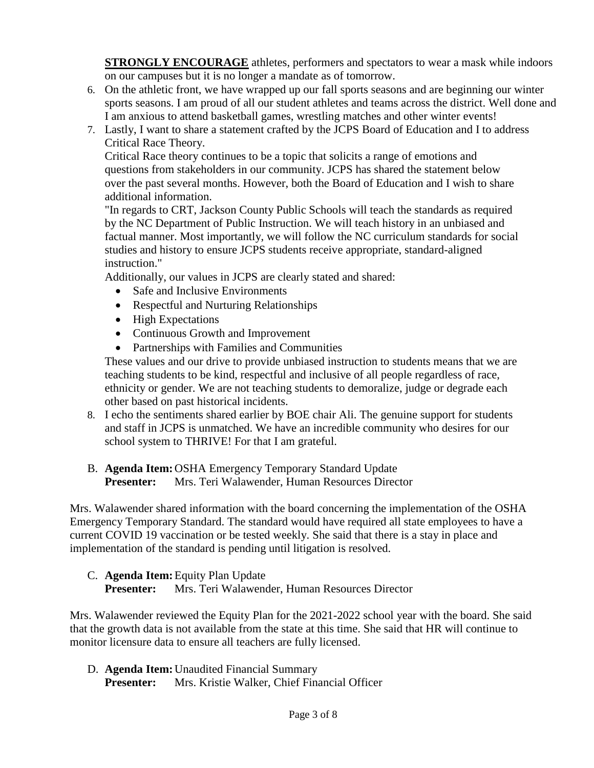**STRONGLY ENCOURAGE** athletes, performers and spectators to wear a mask while indoors on our campuses but it is no longer a mandate as of tomorrow.

- 6. On the athletic front, we have wrapped up our fall sports seasons and are beginning our winter sports seasons. I am proud of all our student athletes and teams across the district. Well done and I am anxious to attend basketball games, wrestling matches and other winter events!
- 7. Lastly, I want to share a statement crafted by the JCPS Board of Education and I to address Critical Race Theory.

Critical Race theory continues to be a topic that solicits a range of emotions and questions from stakeholders in our community. JCPS has shared the statement below over the past several months. However, both the Board of Education and I wish to share additional information.

"In regards to CRT, Jackson County Public Schools will teach the standards as required by the NC Department of Public Instruction. We will teach history in an unbiased and factual manner. Most importantly, we will follow the NC curriculum standards for social studies and history to ensure JCPS students receive appropriate, standard-aligned instruction."

Additionally, our values in JCPS are clearly stated and shared:

- Safe and Inclusive Environments
- Respectful and Nurturing Relationships
- High Expectations
- Continuous Growth and Improvement
- Partnerships with Families and Communities

These values and our drive to provide unbiased instruction to students means that we are teaching students to be kind, respectful and inclusive of all people regardless of race, ethnicity or gender. We are not teaching students to demoralize, judge or degrade each other based on past historical incidents.

- 8. I echo the sentiments shared earlier by BOE chair Ali. The genuine support for students and staff in JCPS is unmatched. We have an incredible community who desires for our school system to THRIVE! For that I am grateful.
- B. **Agenda Item:** OSHA Emergency Temporary Standard Update **Presenter:** Mrs. Teri Walawender, Human Resources Director

Mrs. Walawender shared information with the board concerning the implementation of the OSHA Emergency Temporary Standard. The standard would have required all state employees to have a current COVID 19 vaccination or be tested weekly. She said that there is a stay in place and implementation of the standard is pending until litigation is resolved.

C. **Agenda Item:**Equity Plan Update **Presenter:** Mrs. Teri Walawender, Human Resources Director

Mrs. Walawender reviewed the Equity Plan for the 2021-2022 school year with the board. She said that the growth data is not available from the state at this time. She said that HR will continue to monitor licensure data to ensure all teachers are fully licensed.

D. **Agenda Item:** Unaudited Financial Summary **Presenter:** Mrs. Kristie Walker, Chief Financial Officer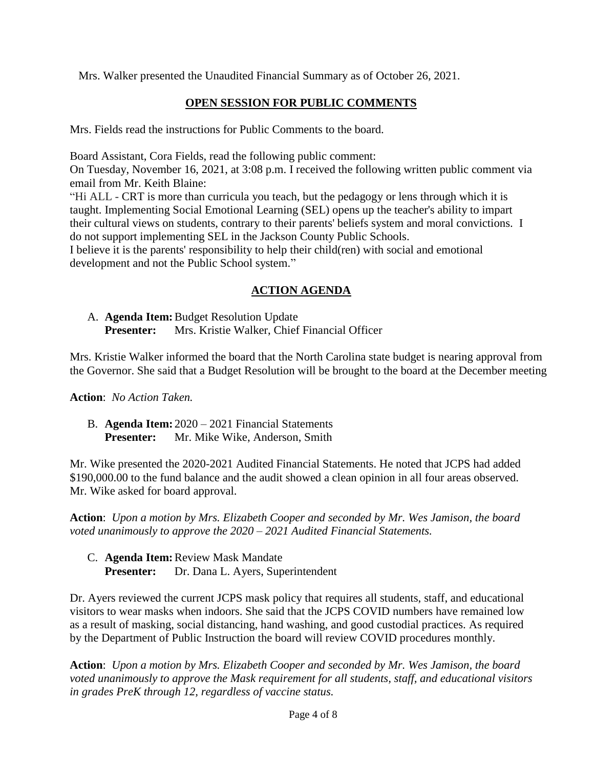Mrs. Walker presented the Unaudited Financial Summary as of October 26, 2021.

# **OPEN SESSION FOR PUBLIC COMMENTS**

Mrs. Fields read the instructions for Public Comments to the board.

Board Assistant, Cora Fields, read the following public comment:

On Tuesday, November 16, 2021, at 3:08 p.m. I received the following written public comment via email from Mr. Keith Blaine:

"Hi ALL - CRT is more than curricula you teach, but the pedagogy or lens through which it is taught. Implementing Social Emotional Learning (SEL) opens up the teacher's ability to impart their cultural views on students, contrary to their parents' beliefs system and moral convictions. I do not support implementing SEL in the Jackson County Public Schools.

I believe it is the parents' responsibility to help their child(ren) with social and emotional development and not the Public School system."

# **ACTION AGENDA**

A. **Agenda Item:**Budget Resolution Update **Presenter:** Mrs. Kristie Walker, Chief Financial Officer

Mrs. Kristie Walker informed the board that the North Carolina state budget is nearing approval from the Governor. She said that a Budget Resolution will be brought to the board at the December meeting

**Action**: *No Action Taken.*

B. **Agenda Item:** 2020 – 2021 Financial Statements **Presenter:** Mr. Mike Wike, Anderson, Smith

Mr. Wike presented the 2020-2021 Audited Financial Statements. He noted that JCPS had added \$190,000.00 to the fund balance and the audit showed a clean opinion in all four areas observed. Mr. Wike asked for board approval.

**Action**: *Upon a motion by Mrs. Elizabeth Cooper and seconded by Mr. Wes Jamison, the board voted unanimously to approve the 2020 – 2021 Audited Financial Statements.*

C. **Agenda Item:**Review Mask Mandate **Presenter:** Dr. Dana L. Ayers, Superintendent

Dr. Ayers reviewed the current JCPS mask policy that requires all students, staff, and educational visitors to wear masks when indoors. She said that the JCPS COVID numbers have remained low as a result of masking, social distancing, hand washing, and good custodial practices. As required by the Department of Public Instruction the board will review COVID procedures monthly.

**Action**: *Upon a motion by Mrs. Elizabeth Cooper and seconded by Mr. Wes Jamison, the board voted unanimously to approve the Mask requirement for all students, staff, and educational visitors in grades PreK through 12, regardless of vaccine status.*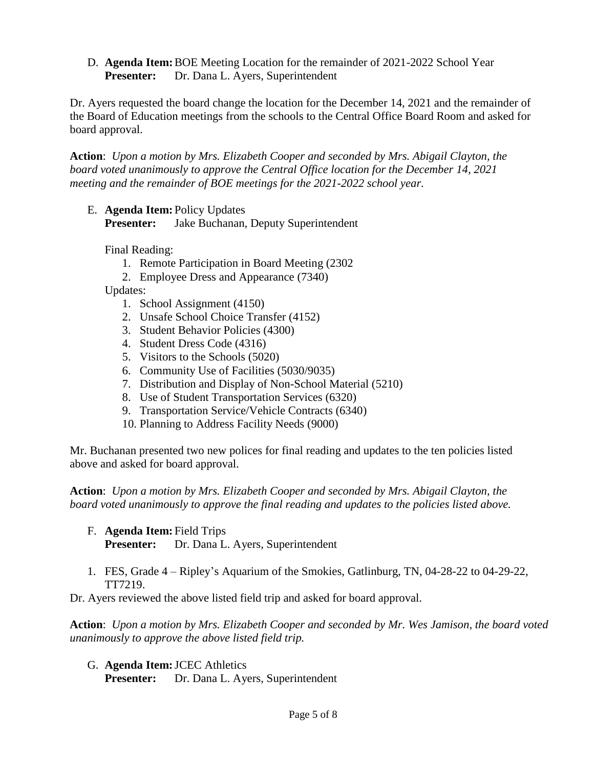D. **Agenda Item:**BOE Meeting Location for the remainder of 2021-2022 School Year **Presenter:** Dr. Dana L. Ayers, Superintendent

Dr. Ayers requested the board change the location for the December 14, 2021 and the remainder of the Board of Education meetings from the schools to the Central Office Board Room and asked for board approval.

**Action**: *Upon a motion by Mrs. Elizabeth Cooper and seconded by Mrs. Abigail Clayton, the board voted unanimously to approve the Central Office location for the December 14, 2021 meeting and the remainder of BOE meetings for the 2021-2022 school year.*

E. **Agenda Item:** Policy Updates

**Presenter:** Jake Buchanan, Deputy Superintendent

Final Reading:

- 1. Remote Participation in Board Meeting (2302
- 2. Employee Dress and Appearance (7340)

Updates:

- 1. School Assignment (4150)
- 2. Unsafe School Choice Transfer (4152)
- 3. Student Behavior Policies (4300)
- 4. Student Dress Code (4316)
- 5. Visitors to the Schools (5020)
- 6. Community Use of Facilities (5030/9035)
- 7. Distribution and Display of Non-School Material (5210)
- 8. Use of Student Transportation Services (6320)
- 9. Transportation Service/Vehicle Contracts (6340)
- 10. Planning to Address Facility Needs (9000)

Mr. Buchanan presented two new polices for final reading and updates to the ten policies listed above and asked for board approval.

**Action**: *Upon a motion by Mrs. Elizabeth Cooper and seconded by Mrs. Abigail Clayton, the board voted unanimously to approve the final reading and updates to the policies listed above.*

- F. **Agenda Item:** Field Trips
	- **Presenter:** Dr. Dana L. Ayers, Superintendent
- 1. FES, Grade 4 Ripley's Aquarium of the Smokies, Gatlinburg, TN, 04-28-22 to 04-29-22, TT7219.

Dr. Ayers reviewed the above listed field trip and asked for board approval.

**Action**: *Upon a motion by Mrs. Elizabeth Cooper and seconded by Mr. Wes Jamison, the board voted unanimously to approve the above listed field trip.*

G. **Agenda Item:**JCEC Athletics

**Presenter:** Dr. Dana L. Ayers, Superintendent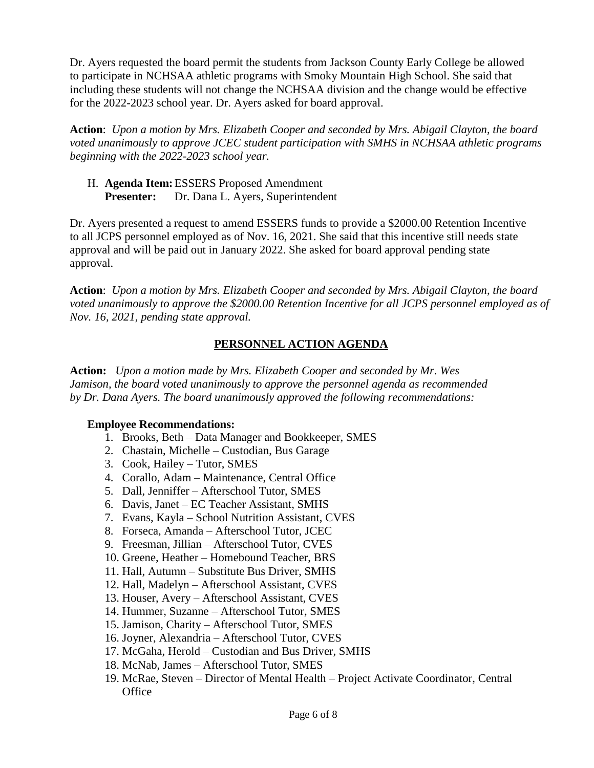Dr. Ayers requested the board permit the students from Jackson County Early College be allowed to participate in NCHSAA athletic programs with Smoky Mountain High School. She said that including these students will not change the NCHSAA division and the change would be effective for the 2022-2023 school year. Dr. Ayers asked for board approval.

**Action**: *Upon a motion by Mrs. Elizabeth Cooper and seconded by Mrs. Abigail Clayton, the board voted unanimously to approve JCEC student participation with SMHS in NCHSAA athletic programs beginning with the 2022-2023 school year.*

H. **Agenda Item:**ESSERS Proposed Amendment **Presenter:** Dr. Dana L. Ayers, Superintendent

Dr. Ayers presented a request to amend ESSERS funds to provide a \$2000.00 Retention Incentive to all JCPS personnel employed as of Nov. 16, 2021. She said that this incentive still needs state approval and will be paid out in January 2022. She asked for board approval pending state approval.

**Action**: *Upon a motion by Mrs. Elizabeth Cooper and seconded by Mrs. Abigail Clayton, the board voted unanimously to approve the \$2000.00 Retention Incentive for all JCPS personnel employed as of Nov. 16, 2021, pending state approval.*

# **PERSONNEL ACTION AGENDA**

**Action:** *Upon a motion made by Mrs. Elizabeth Cooper and seconded by Mr. Wes Jamison, the board voted unanimously to approve the personnel agenda as recommended by Dr. Dana Ayers. The board unanimously approved the following recommendations:*

### **Employee Recommendations:**

- 1. Brooks, Beth Data Manager and Bookkeeper, SMES
- 2. Chastain, Michelle Custodian, Bus Garage
- 3. Cook, Hailey Tutor, SMES
- 4. Corallo, Adam Maintenance, Central Office
- 5. Dall, Jenniffer Afterschool Tutor, SMES
- 6. Davis, Janet EC Teacher Assistant, SMHS
- 7. Evans, Kayla School Nutrition Assistant, CVES
- 8. Forseca, Amanda Afterschool Tutor, JCEC
- 9. Freesman, Jillian Afterschool Tutor, CVES
- 10. Greene, Heather Homebound Teacher, BRS
- 11. Hall, Autumn Substitute Bus Driver, SMHS
- 12. Hall, Madelyn Afterschool Assistant, CVES
- 13. Houser, Avery Afterschool Assistant, CVES
- 14. Hummer, Suzanne Afterschool Tutor, SMES
- 15. Jamison, Charity Afterschool Tutor, SMES
- 16. Joyner, Alexandria Afterschool Tutor, CVES
- 17. McGaha, Herold Custodian and Bus Driver, SMHS
- 18. McNab, James Afterschool Tutor, SMES
- 19. McRae, Steven Director of Mental Health Project Activate Coordinator, Central **Office**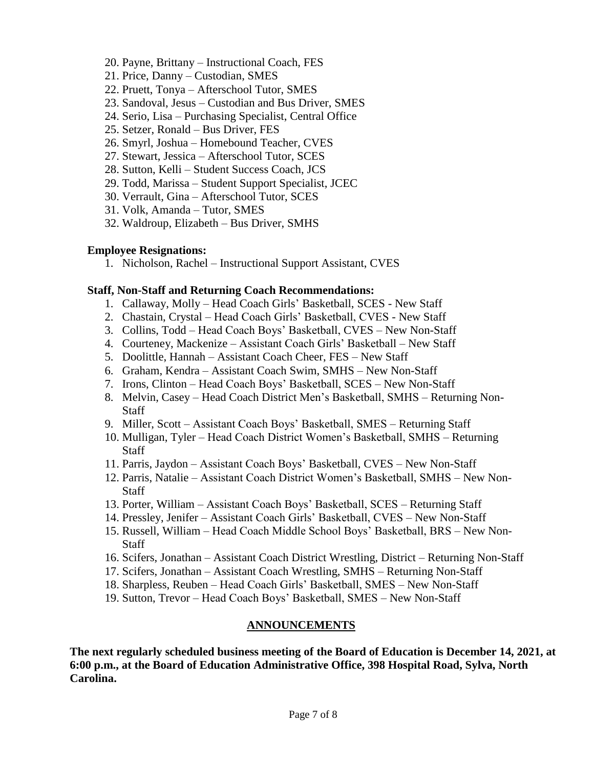- 20. Payne, Brittany Instructional Coach, FES
- 21. Price, Danny Custodian, SMES
- 22. Pruett, Tonya Afterschool Tutor, SMES
- 23. Sandoval, Jesus Custodian and Bus Driver, SMES
- 24. Serio, Lisa Purchasing Specialist, Central Office
- 25. Setzer, Ronald Bus Driver, FES
- 26. Smyrl, Joshua Homebound Teacher, CVES
- 27. Stewart, Jessica Afterschool Tutor, SCES
- 28. Sutton, Kelli Student Success Coach, JCS
- 29. Todd, Marissa Student Support Specialist, JCEC
- 30. Verrault, Gina Afterschool Tutor, SCES
- 31. Volk, Amanda Tutor, SMES
- 32. Waldroup, Elizabeth Bus Driver, SMHS

#### **Employee Resignations:**

1. Nicholson, Rachel – Instructional Support Assistant, CVES

#### **Staff, Non-Staff and Returning Coach Recommendations:**

- 1. Callaway, Molly Head Coach Girls' Basketball, SCES New Staff
- 2. Chastain, Crystal Head Coach Girls' Basketball, CVES New Staff
- 3. Collins, Todd Head Coach Boys' Basketball, CVES New Non-Staff
- 4. Courteney, Mackenize Assistant Coach Girls' Basketball New Staff
- 5. Doolittle, Hannah Assistant Coach Cheer, FES New Staff
- 6. Graham, Kendra Assistant Coach Swim, SMHS New Non-Staff
- 7. Irons, Clinton Head Coach Boys' Basketball, SCES New Non-Staff
- 8. Melvin, Casey Head Coach District Men's Basketball, SMHS Returning Non-Staff
- 9. Miller, Scott Assistant Coach Boys' Basketball, SMES Returning Staff
- 10. Mulligan, Tyler Head Coach District Women's Basketball, SMHS Returning Staff
- 11. Parris, Jaydon Assistant Coach Boys' Basketball, CVES New Non-Staff
- 12. Parris, Natalie Assistant Coach District Women's Basketball, SMHS New Non-**Staff**
- 13. Porter, William Assistant Coach Boys' Basketball, SCES Returning Staff
- 14. Pressley, Jenifer Assistant Coach Girls' Basketball, CVES New Non-Staff
- 15. Russell, William Head Coach Middle School Boys' Basketball, BRS New Non-Staff
- 16. Scifers, Jonathan Assistant Coach District Wrestling, District Returning Non-Staff
- 17. Scifers, Jonathan Assistant Coach Wrestling, SMHS Returning Non-Staff
- 18. Sharpless, Reuben Head Coach Girls' Basketball, SMES New Non-Staff
- 19. Sutton, Trevor Head Coach Boys' Basketball, SMES New Non-Staff

#### **ANNOUNCEMENTS**

**The next regularly scheduled business meeting of the Board of Education is December 14, 2021, at 6:00 p.m., at the Board of Education Administrative Office, 398 Hospital Road, Sylva, North Carolina.**